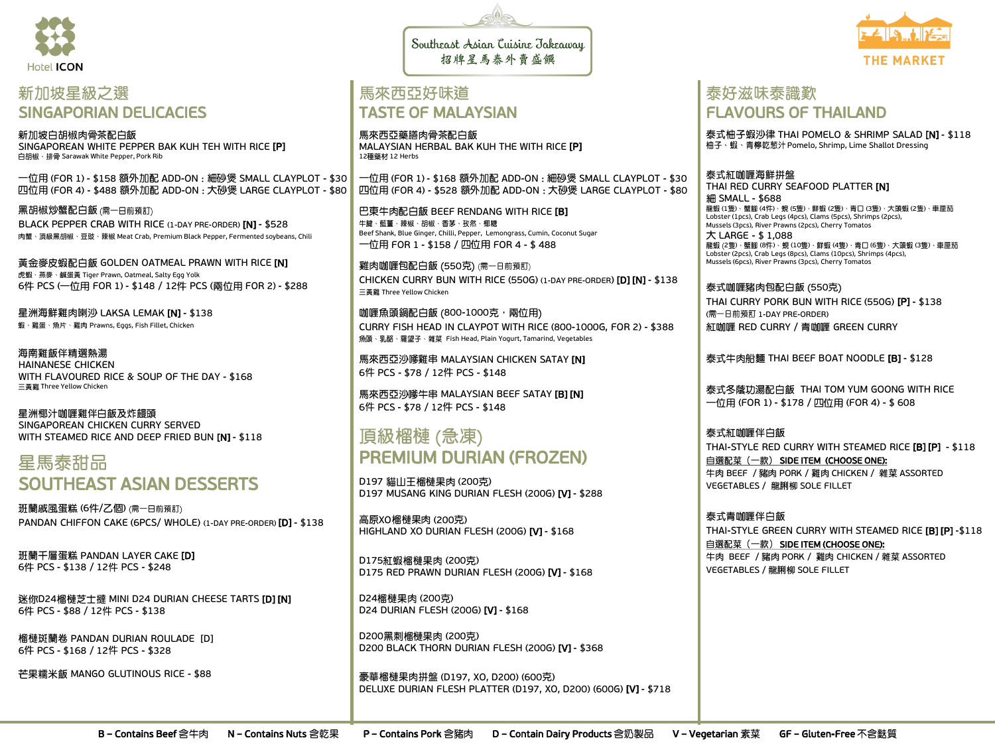

### 新加坡星級之選 SINGAPORIAN DELICACIES

新加坡白胡椒肉骨茶配白飯 SINGAPOREAN WHITE PEPPER BAK KUH TEH WITH RICE [P] 白胡椒、排骨 Sarawak White Pepper, Pork Rib

一位用 (FOR 1) - \$158 額外加配 ADD-ON : 細砂煲 SMALL CLAYPLOT - \$30 四位用 (FOR 4) - \$488 額外加配 ADD-ON : 大砂煲 LARGE CLAYPLOT - \$80

黑胡椒炒蟹配白飯 (需一日前預訂) BLACK PEPPER CRAB WITH RICE (1-DAY PRE-ORDER) [N] - \$528 肉蟹、頂級黑胡椒、豆豉、辣椒 Meat Crab, Premium Black Pepper, Fermented soybeans, Chili

黃金麥皮蝦配白飯 GOLDEN OATMEAL PRAWN WITH RICE [N] 虎蝦、燕麥、鹹蛋黃 Tiger Prawn, Oatmeal, Salty Egg Yolk 6件 PCS (一位用 FOR 1) - \$148 / 12件 PCS (兩位用 FOR 2) - \$288

星洲海鮮雞肉喇沙 LAKSA LEMAK [N] - \$138 蝦、雞蛋、魚片、雞肉 Prawns, Eggs, Fish Fillet, Chicken

海南雞飯伴精選熱湯 HAINANESE CHICKEN WITH FLAVOURED RICE & SOUP OF THE DAY - \$168 三黃雞 Three Yellow Chicken

星洲椰汁咖喱雞伴白飯及炸饅頭 SINGAPOREAN CHICKEN CURRY SERVED WITH STEAMED RICE AND DEEP FRIED BUN [N] - \$118

## 星馬泰甜品 SOUTHEAST ASIAN DESSERTS

班蘭戚風蛋糕 (6件/乙個) (需一日前預訂) PANDAN CHIFFON CAKE (6PCS/ WHOLE) (1-DAY PRE-ORDER) [D] - \$138

班蘭千層蛋糕 PANDAN LAYER CAKE [D] 6件 PCS - \$138 / 12件 PCS - \$248

迷你D24榴槤芝士撻 MINI D24 DURIAN CHEESE TARTS [D] [N] 6件 PCS - \$88 / 12件 PCS - \$138

榴槤斑蘭卷 PANDAN DURIAN ROULADE [D] 6件 PCS - \$168 / 12件 PCS - \$328

芒果糯米飯 MANGO GLUTINOUS RICE - \$88

Southeast Asian Cuisine Jakeaway 招牌星馬泰外賣盛饌

### 馬來西亞好味道 TASTE OF MALAYSIAN

馬來西亞藥膳肉骨茶配白飯 MALAYSIAN HERBAL BAK KUH THE WITH RICE [P] 12種藥材 12 Herbs

一位用 (FOR 1) - \$168 額外加配 ADD-ON : 細砂煲 SMALL CLAYPLOT - \$30 四位用 (FOR 4) - \$528 額外加配 ADD-ON : 大砂煲 LARGE CLAYPLOT - \$80

巴東牛肉配白飯 BEEF RENDANG WITH RICE [B] 牛腱、藍薑、辣椒、胡椒、香茅、孜然、椰糖 Beef Shank, Blue Ginger, Chilli, Pepper, Lemongrass, Cumin, Coconut Sugar FOR 1 - \$158 / FOR 4 - \$ 488

雞肉咖喱包配白飯 (550克) (需一日前預訂) CHICKEN CURRY BUN WITH RICE (550G) (1-DAY PRE-ORDER) [D] [N] - \$138 三黃雞 Three Yellow Chicken

咖喱魚頭鍋配白飯 (800-1000克,兩位用) CURRY FISH HEAD IN CLAYPOT WITH RICE (800-1000G, FOR 2) - \$388 魚頭、乳酪、羅望子、雜菜 Fish Head, Plain Yogurt, Tamarind, Vegetables

馬來西亞沙嗲雞串 MALAYSIAN CHICKEN SATAY [N] 6件 PCS - \$78 / 12件 PCS - \$148

馬來西亞沙嗲牛串 MALAYSIAN BEEF SATAY [B] [N] 6件 PCS - \$78 / 12件 PCS - \$148

## 頂級榴槤(急凍) PREMIUM DURIAN (FROZEN)

D197 貓山王榴槤果肉 (200克) D197 MUSANG KING DURIAN FLESH (200G) [V] - \$288

高原XO榴槤果肉 (200克) HIGHLAND XO DURIAN FLESH (200G) [V] - \$168

D175紅蝦榴槤果肉 (200克) D175 RED PRAWN DURIAN FLESH (200G) [V] - \$168

D24榴槤果肉 (200克) D24 DURIAN FLESH (200G) [V] - \$168

D200黑刺榴槤果肉 (200克) D200 BLACK THORN DURIAN FLESH (200G) [V] - \$368

豪華榴槤果肉拼盤 (D197, XO, D200) (600克) DELUXE DURIAN FLESH PLATTER (D197, XO, D200) (600G) [V] - \$718



泰式柚子蝦沙律 THAI POMELO & SHRIMP SALAD **[N]** - \$118 柚子、蝦、青檸乾葱汁 Pomelo, Shrimp, Lime Shallot Dressing

#### 泰式紅咖喱海鮮拼盤

THAI RED CURRY SEAFOOD PLATTER [N] **細 SMALL - \$688** …— 。<br>龍蝦 (1隻)、蟹腳 (4件)、蜆 (5隻)、鮮蝦 (2隻)、青口 (3隻)、大頭蝦 (2隻)、車厘茄 Lobster (1pcs), Crab Legs (4pcs), Clams (5pcs), Shrimps (2pcs), Mussels (3pcs), River Prawns (2pcs), Cherry Tomatos LARGE - \$ 1,088 2 ) (8 ) (10 ) (4 ) (6 ) (3 ) Lobster (2pcs), Crab Legs (8pcs), Clams (10pcs), Shrimps (4pcs), Mussels (6pcs), River Prawns (3pcs), Cherry Tomatos

泰式咖喱豬肉包配白飯 (550克) THAI CURRY PORK BUN WITH RICE (550G) [P] - \$138 (需一日前預訂 1-DAY PRE-ORDER) 紅咖喱 RED CURRY / 青咖喱 GREEN CURRY

泰式牛肉船麵 THAI BEEF BOAT NOODLE [**B] - \$**128

泰式冬蔭功湯配白飯 THAI TOM YUM GOONG WITH RICE (FOR 1) - \$178 / (FOR 4) - \$ 608

#### 泰式紅咖喱伴白飯

THAI-STYLE RED CURRY WITH STEAMED RICE [B] [P] - \$118 自選配菜(一款) SIDE ITEM (CHOOSE ONE): 牛肉 BEEF / 豬肉 PORK / 雞肉 CHICKEN / 雜菜 ASSORTED VEGETABLES / 龍脷柳 SOLE FILLET

泰式青咖喱伴白飯 THAI-STYLE GREEN CURRY WITH STEAMED RICE [B] [P] -\$118 自選配菜 (一款) SIDE ITEM (CHOOSE ONE): 牛肉 BEEF / 豬肉 PORK / 雞肉 CHICKEN / 雜菜 ASSORTED VEGETABLES / 龍脷柳 SOLE FILLET